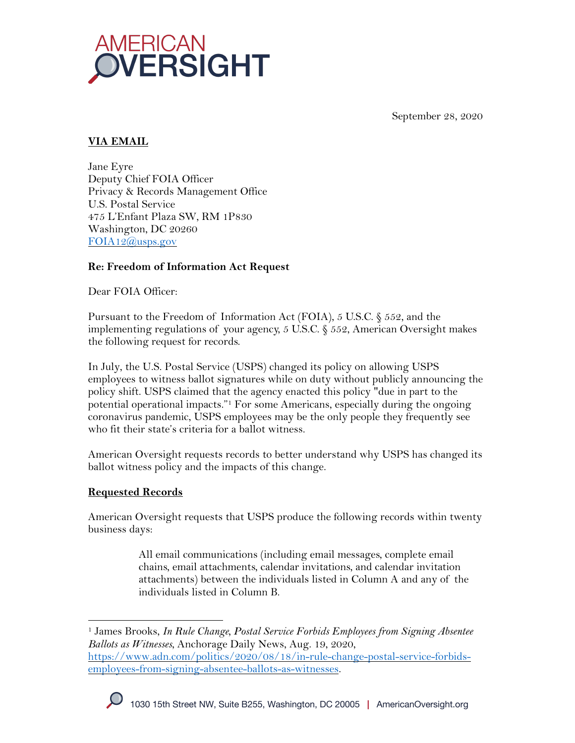

September 28, 2020

# **VIA EMAIL**

Jane Eyre Deputy Chief FOIA Officer Privacy & Records Management Office U.S. Postal Service 475 L'Enfant Plaza SW, RM 1P830 Washington, DC 20260 FOIA12@usps.gov

## **Re: Freedom of Information Act Request**

Dear FOIA Officer:

Pursuant to the Freedom of Information Act (FOIA), 5 U.S.C. § 552, and the implementing regulations of your agency,  $5 \text{ U.S.C. } \xi$  552, American Oversight makes the following request for records.

In July, the U.S. Postal Service (USPS) changed its policy on allowing USPS employees to witness ballot signatures while on duty without publicly announcing the policy shift. USPS claimed that the agency enacted this policy "due in part to the potential operational impacts."1 For some Americans, especially during the ongoing coronavirus pandemic, USPS employees may be the only people they frequently see who fit their state's criteria for a ballot witness.

American Oversight requests records to better understand why USPS has changed its ballot witness policy and the impacts of this change.

## **Requested Records**

American Oversight requests that USPS produce the following records within twenty business days:

> All email communications (including email messages, complete email chains, email attachments, calendar invitations, and calendar invitation attachments) between the individuals listed in Column A and any of the individuals listed in Column B.

<sup>1</sup> James Brooks, *In Rule Change, Postal Service Forbids Employees from Signing Absentee Ballots as Witnesses*, Anchorage Daily News, Aug. 19, 2020, https://www.adn.com/politics/2020/08/18/in-rule-change-postal-service-forbidsemployees-from-signing-absentee-ballots-as-witnesses.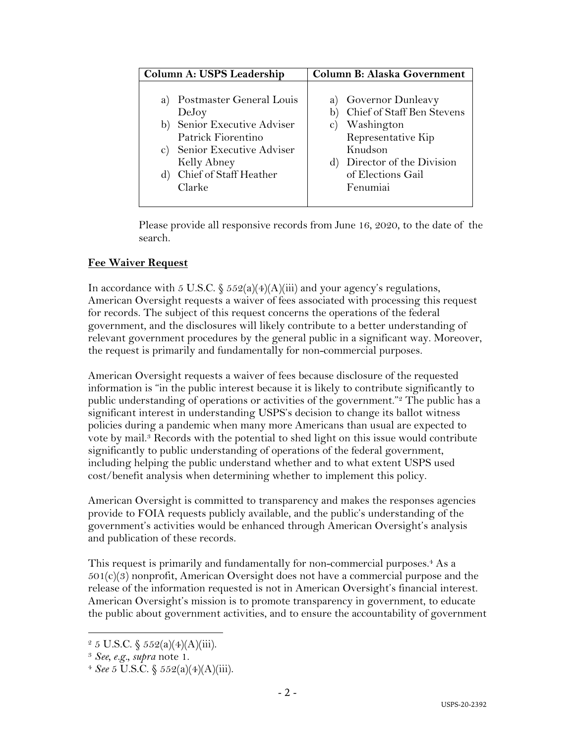| Column A: USPS Leadership                                                                                                                                                                              | <b>Column B: Alaska Government</b>                                                                                                                                                     |
|--------------------------------------------------------------------------------------------------------------------------------------------------------------------------------------------------------|----------------------------------------------------------------------------------------------------------------------------------------------------------------------------------------|
| Postmaster General Louis<br>a)<br>DeJoy<br>Senior Executive Adviser<br>b)<br>Patrick Fiorentino<br>Senior Executive Adviser<br>$\mathbf{C}$ )<br>Kelly Abney<br>Chief of Staff Heather<br>d)<br>Clarke | a) Governor Dunleavy<br>Chief of Staff Ben Stevens<br>Washington<br>$\mathbf{C}$ )<br>Representative Kip<br>Knudson<br>Director of the Division<br>d)<br>of Elections Gail<br>Fenumiai |
|                                                                                                                                                                                                        |                                                                                                                                                                                        |

Please provide all responsive records from June 16, 2020, to the date of the search.

#### **Fee Waiver Request**

In accordance with 5 U.S.C.  $\frac{552(a)(4)(A)(iii)}{3}$  and your agency's regulations, American Oversight requests a waiver of fees associated with processing this request for records. The subject of this request concerns the operations of the federal government, and the disclosures will likely contribute to a better understanding of relevant government procedures by the general public in a significant way. Moreover, the request is primarily and fundamentally for non-commercial purposes.

American Oversight requests a waiver of fees because disclosure of the requested information is "in the public interest because it is likely to contribute significantly to public understanding of operations or activities of the government."<sup>2</sup> The public has a significant interest in understanding USPS's decision to change its ballot witness policies during a pandemic when many more Americans than usual are expected to vote by mail.3 Records with the potential to shed light on this issue would contribute significantly to public understanding of operations of the federal government, including helping the public understand whether and to what extent USPS used cost/benefit analysis when determining whether to implement this policy.

American Oversight is committed to transparency and makes the responses agencies provide to FOIA requests publicly available, and the public's understanding of the government's activities would be enhanced through American Oversight's analysis and publication of these records.

This request is primarily and fundamentally for non-commercial purposes.<sup>4</sup> As a  $501(c)(3)$  nonprofit, American Oversight does not have a commercial purpose and the release of the information requested is not in American Oversight's financial interest. American Oversight's mission is to promote transparency in government, to educate the public about government activities, and to ensure the accountability of government

 $2 \, 5 \, \text{U.S.C.} \, \S \, 552(a)(4)(A)(iii).$ 

<sup>3</sup> *See, e.g., supra* note 1. 4 *See* 5 U.S.C. § 552(a)(4)(A)(iii).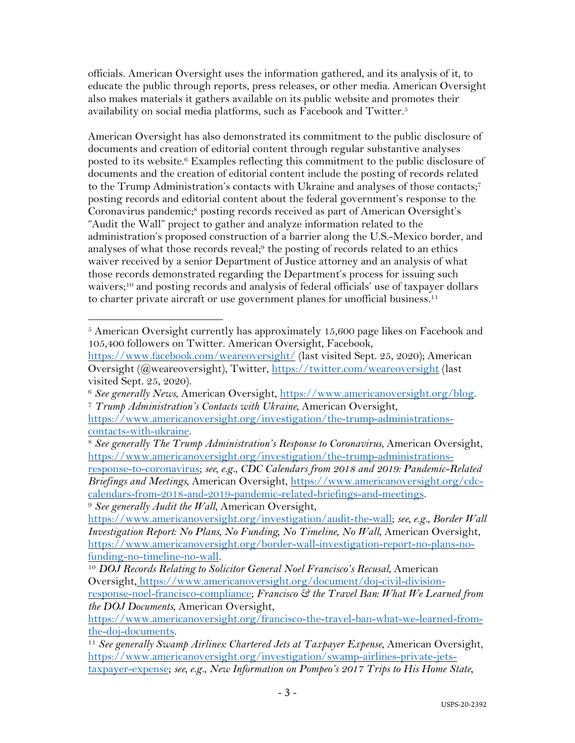officials. American Oversight uses the information gathered, and its analysis of it, to educate the public through reports, press releases, or other media. American Oversight also makes materials it gathers available on its public website and promotes their availability on social media platforms, such as Facebook and Twitter.<sup>5</sup>

American Oversight has also demonstrated its commitment to the public disclosure of documents and creation of editorial content through regular substantive analyses posted to its website.6 Examples reflecting this commitment to the public disclosure of documents and the creation of editorial content include the posting of records related to the Trump Administration's contacts with Ukraine and analyses of those contacts;7 posting records and editorial content about the federal government's response to the Coronavirus pandemic;<sup>8</sup> posting records received as part of American Oversight's "Audit the Wall" project to gather and analyze information related to the administration's proposed construction of a barrier along the U.S.-Mexico border, and analyses of what those records reveal;9 the posting of records related to an ethics waiver received by a senior Department of Justice attorney and an analysis of what those records demonstrated regarding the Department's process for issuing such waivers;10 and posting records and analysis of federal officials' use of taxpayer dollars to charter private aircraft or use government planes for unofficial business.<sup>11</sup>

<sup>5</sup> American Oversight currently has approximately 15,600 page likes on Facebook and 105,400 followers on Twitter. American Oversight, Facebook,

https://www.facebook.com/weareoversight/ (last visited Sept. 25, 2020); American Oversight (@weareoversight), Twitter, https://twitter.com/weareoversight (last visited Sept. 25, 2020).

<sup>6</sup> *See generally News*, American Oversight, https://www.americanoversight.org/blog. 7 *Trump Administration's Contacts with Ukraine*, American Oversight,

https://www.americanoversight.org/investigation/the-trump-administrationscontacts-with-ukraine.

<sup>8</sup> *See generally The Trump Administration's Response to Coronavirus*, American Oversight, https://www.americanoversight.org/investigation/the-trump-administrationsresponse-to-coronavirus; *see, e.g.*, *CDC Calendars from 2018 and 2019: Pandemic-Related* 

*Briefings and Meetings*, American Oversight, https://www.americanoversight.org/cdccalendars-from-2018-and-2019-pandemic-related-briefings-and-meetings.

<sup>9</sup> *See generally Audit the Wall*, American Oversight,

https://www.americanoversight.org/investigation/audit-the-wall; *see, e.g.*, *Border Wall Investigation Report: No Plans, No Funding, No Timeline, No Wall*, American Oversight, https://www.americanoversight.org/border-wall-investigation-report-no-plans-nofunding-no-timeline-no-wall. 10 *DOJ Records Relating to Solicitor General Noel Francisco's Recusal*, American

Oversight, https://www.americanoversight.org/document/doj-civil-divisionresponse-noel-francisco-compliance; *Francisco & the Travel Ban: What We Learned from* 

*the DOJ Documents*, American Oversight, https://www.americanoversight.org/francisco-the-travel-ban-what-we-learned-fromthe-doj-documents.

<sup>&</sup>lt;sup>11</sup> See generally Swamp Airlines: Chartered Jets at Taxpayer Expense, American Oversight, https://www.americanoversight.org/investigation/swamp-airlines-private-jetstaxpayer-expense; *see, e.g.*, *New Information on Pompeo's 2017 Trips to His Home State*,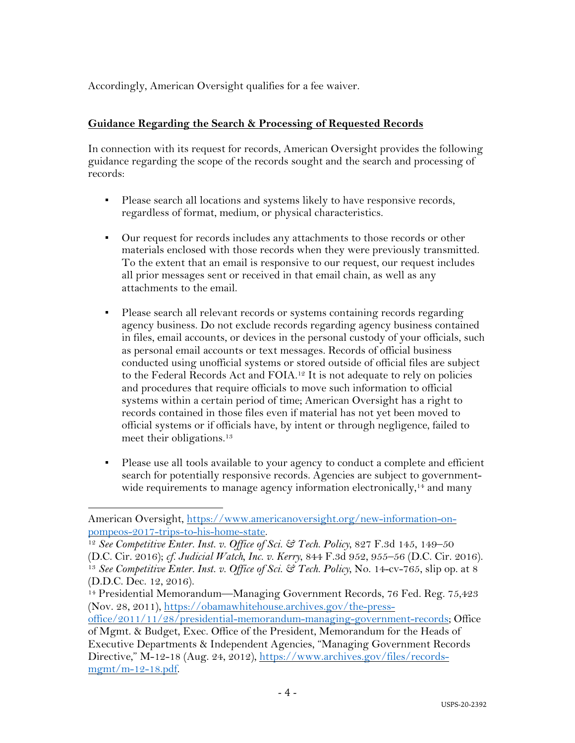Accordingly, American Oversight qualifies for a fee waiver.

### **Guidance Regarding the Search & Processing of Requested Records**

In connection with its request for records, American Oversight provides the following guidance regarding the scope of the records sought and the search and processing of records:

- Please search all locations and systems likely to have responsive records, regardless of format, medium, or physical characteristics.
- Our request for records includes any attachments to those records or other materials enclosed with those records when they were previously transmitted. To the extent that an email is responsive to our request, our request includes all prior messages sent or received in that email chain, as well as any attachments to the email.
- Please search all relevant records or systems containing records regarding agency business. Do not exclude records regarding agency business contained in files, email accounts, or devices in the personal custody of your officials, such as personal email accounts or text messages. Records of official business conducted using unofficial systems or stored outside of official files are subject to the Federal Records Act and FOIA.<sup>12</sup> It is not adequate to rely on policies and procedures that require officials to move such information to official systems within a certain period of time; American Oversight has a right to records contained in those files even if material has not yet been moved to official systems or if officials have, by intent or through negligence, failed to meet their obligations.13
- Please use all tools available to your agency to conduct a complete and efficient search for potentially responsive records. Agencies are subject to governmentwide requirements to manage agency information electronically,<sup>14</sup> and many

American Oversight, https://www.americanoversight.org/new-information-onpompeos-2017-trips-to-his-home-state.

<sup>12</sup> *See Competitive Enter. Inst. v. Office of Sci. & Tech. Policy*, 827 F.3d 145, 149–50 (D.C. Cir. 2016); *cf. Judicial Watch, Inc. v. Kerry*, 844 F.3d 952, 955–56 (D.C. Cir. 2016). 13 *See Competitive Enter. Inst. v. Office of Sci. & Tech. Policy*, No. 14-cv-765, slip op. at 8 (D.D.C. Dec. 12, 2016).

<sup>&</sup>lt;sup>14</sup> Presidential Memorandum—Managing Government Records, 76 Fed. Reg. 75,423 (Nov. 28, 2011), https://obamawhitehouse.archives.gov/the-press-

office/2011/11/28/presidential-memorandum-managing-government-records; Office

of Mgmt. & Budget, Exec. Office of the President, Memorandum for the Heads of Executive Departments & Independent Agencies, "Managing Government Records Directive," M-12-18 (Aug. 24, 2012), https://www.archives.gov/files/recordsmgmt/m-12-18.pdf.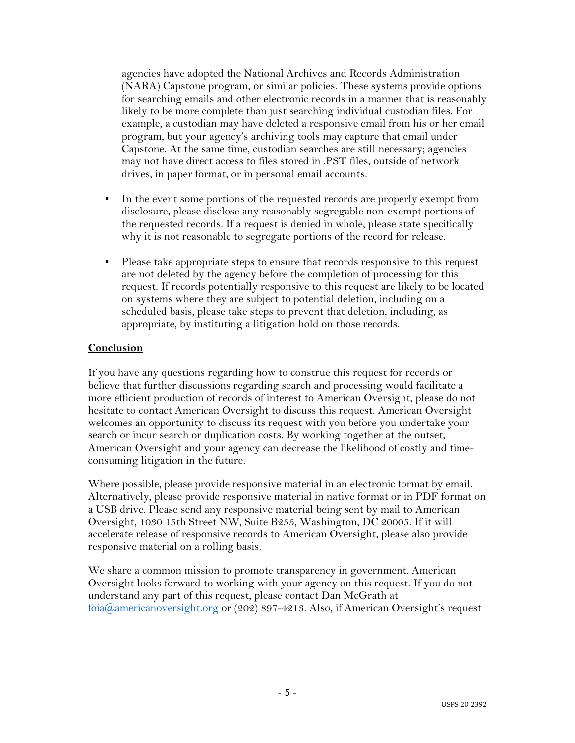agencies have adopted the National Archives and Records Administration (NARA) Capstone program, or similar policies. These systems provide options for searching emails and other electronic records in a manner that is reasonably likely to be more complete than just searching individual custodian files. For example, a custodian may have deleted a responsive email from his or her email program, but your agency's archiving tools may capture that email under Capstone. At the same time, custodian searches are still necessary; agencies may not have direct access to files stored in .PST files, outside of network drives, in paper format, or in personal email accounts.

- In the event some portions of the requested records are properly exempt from disclosure, please disclose any reasonably segregable non-exempt portions of the requested records. If a request is denied in whole, please state specifically why it is not reasonable to segregate portions of the record for release.
- Please take appropriate steps to ensure that records responsive to this request are not deleted by the agency before the completion of processing for this request. If records potentially responsive to this request are likely to be located on systems where they are subject to potential deletion, including on a scheduled basis, please take steps to prevent that deletion, including, as appropriate, by instituting a litigation hold on those records.

## **Conclusion**

If you have any questions regarding how to construe this request for records or believe that further discussions regarding search and processing would facilitate a more efficient production of records of interest to American Oversight, please do not hesitate to contact American Oversight to discuss this request. American Oversight welcomes an opportunity to discuss its request with you before you undertake your search or incur search or duplication costs. By working together at the outset, American Oversight and your agency can decrease the likelihood of costly and timeconsuming litigation in the future.

Where possible, please provide responsive material in an electronic format by email. Alternatively, please provide responsive material in native format or in PDF format on a USB drive. Please send any responsive material being sent by mail to American Oversight, 1030 15th Street NW, Suite B255, Washington, DC 20005. If it will accelerate release of responsive records to American Oversight, please also provide responsive material on a rolling basis.

We share a common mission to promote transparency in government. American Oversight looks forward to working with your agency on this request. If you do not understand any part of this request, please contact Dan McGrath at  $f_{\text{oia}}(a)$  americanoversight.org or (202) 897-4213. Also, if American Oversight's request